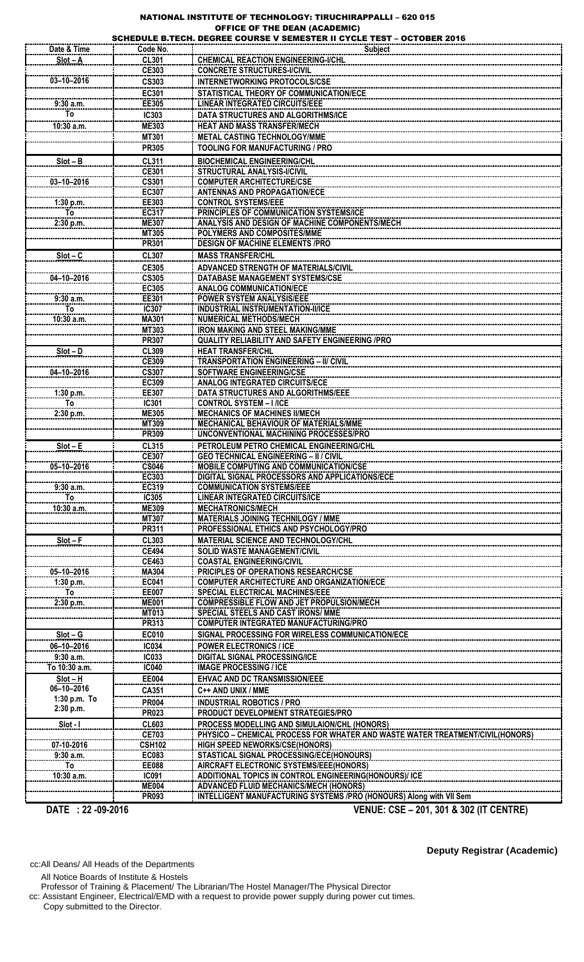## NATIONAL INSTITUTE OF TECHNOLOGY: TIRUCHIRAPPALLI – 620 015

|                            |                              | <b>OFFICE OF THE DEAN (ACADEMIC)</b><br>SCHEDULE B.TECH. DEGREE COURSE V SEMESTER II CYCLE TEST - OCTOBER 2016 |  |  |
|----------------------------|------------------------------|----------------------------------------------------------------------------------------------------------------|--|--|
| Date & Time                | Code No.                     | Subject                                                                                                        |  |  |
| $Slot - A$                 | <b>CL301</b>                 | <b>CHEMICAL REACTION ENGINEERING-I/CHL</b>                                                                     |  |  |
|                            | CE303                        | <b>CONCRETE STRUCTURES-I/CIVIL</b>                                                                             |  |  |
| $03 - 10 - 2016$           | <b>CS303</b>                 | <b>INTERNETWORKING PROTOCOLS/CSE</b>                                                                           |  |  |
|                            | EC301                        | STATISTICAL THEORY OF COMMUNICATION/ECE                                                                        |  |  |
| 9:30a.m.                   | EE305                        | <b>LINEAR INTEGRATED CIRCUITS/EEE</b>                                                                          |  |  |
| Т٥                         | <b>IC303</b>                 | DATA STRUCTURES AND ALGORITHMS/ICE                                                                             |  |  |
| 10:30 a.m.                 | <b>ME303</b>                 | <b>HEAT AND MASS TRANSFER/MECH</b>                                                                             |  |  |
|                            | <b>MT301</b><br><b>PR305</b> | METAL CASTING TECHNOLOGY/MME<br><b>TOOLING FOR MANUFACTURING / PRO</b>                                         |  |  |
|                            |                              |                                                                                                                |  |  |
| $Slot - B$                 | <b>CL311</b><br><b>CE301</b> | <b>BIOCHEMICAL ENGINEERING/CHL</b><br>STRUCTURAL ANALYSIS-I/CIVIL                                              |  |  |
| $03 - 10 - 2016$           | <b>CS301</b>                 | <b>COMPUTER ARCHITECTURE/CSE</b>                                                                               |  |  |
|                            | EC307                        | <b>ANTENNAS AND PROPAGATION/ECE</b>                                                                            |  |  |
| 1:30 p.m.                  | EE303                        | <b>CONTROL SYSTEMS/EEE</b>                                                                                     |  |  |
| To                         | EC317                        | PRINCIPLES OF COMMUNICATION SYSTEMS/ICE                                                                        |  |  |
| 2:30 p.m.                  | <b>ME307</b><br><b>MT305</b> | ANALYSIS AND DESIGN OF MACHINE COMPONENTS/MECH<br>POLYMERS AND COMPOSITES/MME                                  |  |  |
|                            | <b>PR301</b>                 | <b>DESIGN OF MACHINE ELEMENTS /PRO</b>                                                                         |  |  |
| $Slot - C$                 | <b>CL307</b>                 | <b>MASS TRANSFER/CHL</b>                                                                                       |  |  |
|                            | <b>CE305</b>                 | ADVANCED STRENGTH OF MATERIALS/CIVIL                                                                           |  |  |
| 04-10-2016                 | <b>CS305</b>                 | DATABASE MANAGEMENT SYSTEMS/CSE                                                                                |  |  |
|                            | EC305                        | <b>ANALOG COMMUNICATION/ECE</b>                                                                                |  |  |
| 9:30 a.m.                  | EE301                        | <b>POWER SYSTEM ANALYSIS/EEE</b>                                                                               |  |  |
| To                         | <b>IC307</b>                 | <b>INDUSTRIAL INSTRUMENTATION-II/ICE</b>                                                                       |  |  |
| 10:30 a.m.                 | <b>MA301</b><br>MT303        | <b>NUMERICAL METHODS/MECH</b><br><b>IRON MAKING AND STEEL MAKING/MME</b>                                       |  |  |
|                            | <b>PR307</b>                 | <b>QUALITY RELIABILITY AND SAFETY ENGINEERING /PRO</b>                                                         |  |  |
| $Slot - D$                 | <b>CL309</b>                 | <b>HEAT TRANSFER/CHL</b>                                                                                       |  |  |
|                            | <b>CE309</b>                 | <b>TRANSPORTATION ENGINEERING - II/ CIVIL</b>                                                                  |  |  |
| 04-10-2016                 | <b>CS307</b>                 | <b>SOFTWARE ENGINEERING/CSE</b>                                                                                |  |  |
|                            | EC309                        | <b>ANALOG INTEGRATED CIRCUITS/ECE</b>                                                                          |  |  |
| 1:30 p.m.<br>To            | EE307<br>IC301               | <b>DATA STRUCTURES AND ALGORITHMS/EEE</b><br><b>CONTROL SYSTEM - I /ICE</b>                                    |  |  |
| 2:30 p.m.                  | <b>ME305</b>                 | <b>MECHANICS OF MACHINES II/MECH</b>                                                                           |  |  |
|                            | MT309                        | MECHANICAL BEHAVIOUR OF MATERIALS/MME                                                                          |  |  |
|                            | <b>PR309</b>                 | UNCONVENTIONAL MACHINING PROCESSES/PRO                                                                         |  |  |
| $Slot - E$                 | <b>CL315</b>                 | PETROLEUM PETRO CHEMICAL ENGINEERING/CHL                                                                       |  |  |
|                            | <b>CE307</b>                 | <b>GEO TECHNICAL ENGINEERING - II / CIVIL</b>                                                                  |  |  |
| 05-10-2016                 | <b>CS046</b><br>EC303        | MOBILE COMPUTING AND COMMUNICATION/CSE<br>DIGITAL SIGNAL PROCESSORS AND APPLICATIONS/ECE                       |  |  |
| 9:30a.m.                   | EC319                        | <b>COMMUNICATION SYSTEMS/EEE</b>                                                                               |  |  |
| To                         | <b>IC305</b>                 | <b>LINEAR INTEGRATED CIRCUITS/ICE</b>                                                                          |  |  |
| $10:30$ a.m.               | <b>ME309</b>                 | <b>MECHATRONICS/MECH</b>                                                                                       |  |  |
|                            | <b>MT307</b>                 | <b>MATERIALS JOINING TECHNILOGY / MME</b>                                                                      |  |  |
|                            | PR311                        | <b>PROFESSIONAL ETHICS AND PSYCHOLOGY/PRO</b>                                                                  |  |  |
| $Slot - F$                 | <b>CL303</b><br><b>CE494</b> | <b>MATERIAL SCIENCE AND TECHNOLOGY/CHL</b><br><b>SOLID WASTE MANAGEMENT/CIVIL</b>                              |  |  |
|                            | <b>CE463</b>                 | <b>COASTAL ENGINEERING/CIVIL</b>                                                                               |  |  |
| 05-10-2016                 | <b>MA304</b>                 | <b>PRICIPLES OF OPERATIONS RESEARCH/CSE</b>                                                                    |  |  |
| 1:30 p.m.                  | EC041                        | <b>COMPUTER ARCHITECTURE AND ORGANIZATION/ECE</b>                                                              |  |  |
| To                         | <b>EE007</b>                 | <b>SPECIAL ELECTRICAL MACHINES/EEE</b>                                                                         |  |  |
| 2:30 p.m.                  | <b>ME001</b><br><b>MT013</b> | <b>COMPRESSIBLE FLOW AND JET PROPULSION/MECH</b><br><b>SPECIAL STEELS AND CAST IRONS/ MME</b>                  |  |  |
|                            | PR313                        | <b>COMPUTER INTEGRATED MANUFACTURING/PRO</b>                                                                   |  |  |
| $Slot - G$                 | <b>EC010</b>                 | SIGNAL PROCESSING FOR WIRELESS COMMUNICATION/ECE                                                               |  |  |
| 06-10-2016                 | <b>IC034</b>                 | <b>POWER ELECTRONICS / ICE</b>                                                                                 |  |  |
| 9:30a.m.                   | <b>IC033</b>                 | <b>DIGITAL SIGNAL PROCESSING/ICE</b>                                                                           |  |  |
| To 10:30 a.m.              | <b>IC040</b>                 | <b>IMAGE PROCESSING / ICE</b>                                                                                  |  |  |
| $Slot - H$                 | <b>EE004</b>                 | <b>EHVAC AND DC TRANSMISSION/EEE</b>                                                                           |  |  |
| 06-10-2016<br>1:30 p.m. To | CA351                        | C++ AND UNIX / MME                                                                                             |  |  |
| 2:30 p.m.                  | <b>PR004</b>                 | <b>INDUSTRIAL ROBOTICS / PRO</b>                                                                               |  |  |
| Slot - I                   | <b>PR023</b><br><b>CL603</b> | PRODUCT DEVELOPMENT STRATEGIES/PRO<br>PROCESS MODELLING AND SIMULAION/CHL (HONORS)                             |  |  |
|                            | <b>CE703</b>                 | PHYSICO - CHEMICAL PROCESS FOR WHATER AND WASTE WATER TREATMENT/CIVIL(HONORS)                                  |  |  |
| 07-10-2016                 | <b>CSH102</b>                | <b>HIGH SPEED NEWORKS/CSE(HONORS)</b>                                                                          |  |  |
| 9:30a.m.                   | EC083                        | STASTICAL SIGNAL PROCESSING/ECE(HONOURS)                                                                       |  |  |
| To                         | <b>EE088</b>                 | AIRCRAFT ELECTRONIC SYSTEMS/EEE(HONORS)                                                                        |  |  |
| 10:30 a.m.                 | <b>IC091</b><br><b>ME004</b> | ADDITIONAL TOPICS IN CONTROL ENGINEERING(HONOURS)/ ICE<br><b>ADVANCED FLUID MECHANICS/MECH (HONORS)</b>        |  |  |
|                            | <b>PR093</b>                 | INTELLIGENT MANUFACTURING SYSTEMS /PRO (HONOURS) Along with VII Sem                                            |  |  |
| DATE: 22 -09-2016          |                              | VENUE: CSE - 201, 301 & 302 (IT CENTRE)                                                                        |  |  |
|                            |                              |                                                                                                                |  |  |

cc:All Deans/ All Heads of the Departments

All Notice Boards of Institute & Hostels

Professor of Training & Placement/ The Librarian/The Hostel Manager/The Physical Director cc: Assistant Engineer, Electrical/EMD with a request to provide power supply during power cut times. Copy submitted to the Director.

**Deputy Registrar (Academic)**